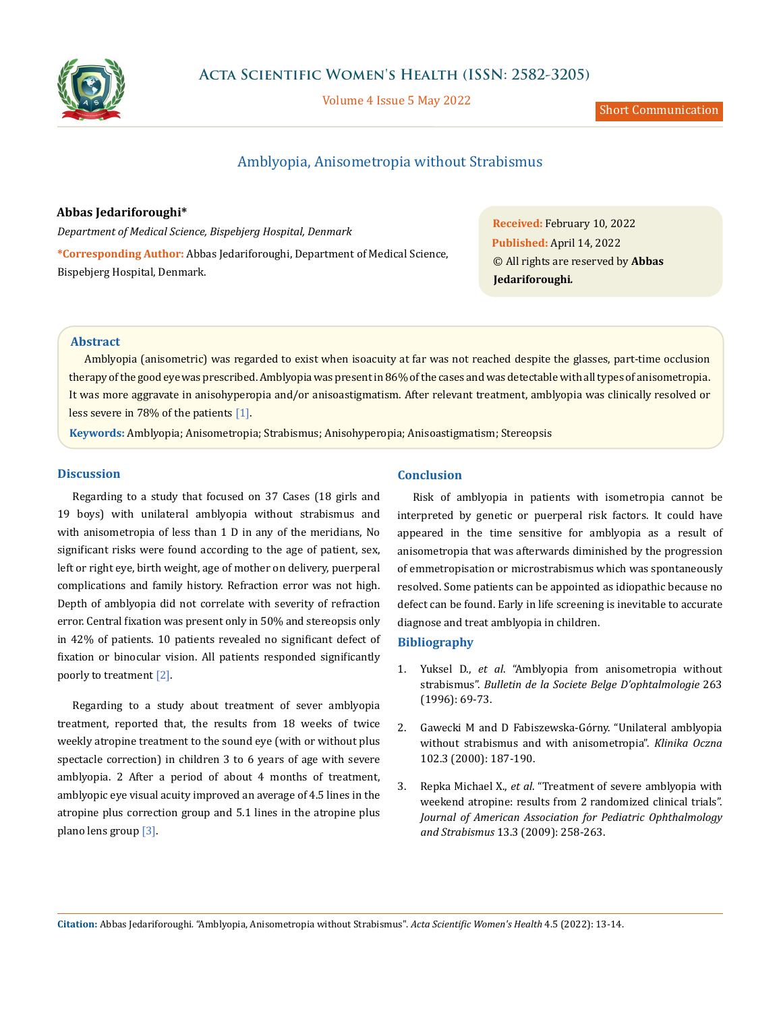

Volume 4 Issue 5 May 2022

Short Communication

# Amblyopia, Anisometropia without Strabismus

## **Abbas Jedariforoughi\***

*Department of Medical Science, Bispebjerg Hospital, Denmark* **\*Corresponding Author:** Abbas Jedariforoughi, Department of Medical Science, Bispebjerg Hospital, Denmark.

**Received:** February 10, 2022 **Published:** April 14, 2022 © All rights are reserved by **Abbas Jedariforoughi***.*

## **Abstract**

Amblyopia (anisometric) was regarded to exist when isoacuity at far was not reached despite the glasses, part-time occlusion therapy of the good eye was prescribed. Amblyopia was present in 86% of the cases and was detectable with all types of anisometropia. It was more aggravate in anisohyperopia and/or anisoastigmatism. After relevant treatment, amblyopia was clinically resolved or less severe in 78% of the patients [1].

**Keywords:** Amblyopia; Anisometropia; Strabismus; Anisohyperopia; Anisoastigmatism; Stereopsis

#### **Discussion**

Regarding to a study that focused on 37 Cases (18 girls and 19 boys) with unilateral amblyopia without strabismus and with anisometropia of less than 1 D in any of the meridians, No significant risks were found according to the age of patient, sex, left or right eye, birth weight, age of mother on delivery, puerperal complications and family history. Refraction error was not high. Depth of amblyopia did not correlate with severity of refraction error. Central fixation was present only in 50% and stereopsis only in 42% of patients. 10 patients revealed no significant defect of fixation or binocular vision. All patients responded significantly poorly to treatment [2].

Regarding to a study about treatment of sever amblyopia treatment, reported that, the results from 18 weeks of twice weekly atropine treatment to the sound eye (with or without plus spectacle correction) in children 3 to 6 years of age with severe amblyopia. 2 After a period of about 4 months of treatment, amblyopic eye visual acuity improved an average of 4.5 lines in the atropine plus correction group and 5.1 lines in the atropine plus plano lens group [3].

#### **Conclusion**

Risk of amblyopia in patients with isometropia cannot be interpreted by genetic or puerperal risk factors. It could have appeared in the time sensitive for amblyopia as a result of anisometropia that was afterwards diminished by the progression of emmetropisation or microstrabismus which was spontaneously resolved. Some patients can be appointed as idiopathic because no defect can be found. Early in life screening is inevitable to accurate diagnose and treat amblyopia in children.

#### **Bibliography**

- 1. Yuksel D., *et al*[. "Amblyopia from anisometropia without](https://pubmed.ncbi.nlm.nih.gov/9410409/)  strabismus". *[Bulletin de la Societe Belge D'ophtalmologie](https://pubmed.ncbi.nlm.nih.gov/9410409/)* 263 [\(1996\): 69-73.](https://pubmed.ncbi.nlm.nih.gov/9410409/)
- 2. [Gawecki M and D Fabiszewska-Górny. "Unilateral amblyopia](https://pubmed.ncbi.nlm.nih.gov/11126174/)  [without strabismus and with anisometropia".](https://pubmed.ncbi.nlm.nih.gov/11126174/) *Klinika Oczna*  [102.3 \(2000\): 187-190.](https://pubmed.ncbi.nlm.nih.gov/11126174/)
- 3. Repka Michael X., *et al*[. "Treatment of severe amblyopia with](https://pubmed.ncbi.nlm.nih.gov/19541265/)  [weekend atropine: results from 2 randomized clinical trials".](https://pubmed.ncbi.nlm.nih.gov/19541265/)  *[Journal of American Association for Pediatric Ophthalmology](https://pubmed.ncbi.nlm.nih.gov/19541265/)  and Strabismus* [13.3 \(2009\): 258-263.](https://pubmed.ncbi.nlm.nih.gov/19541265/)

**Citation:** Abbas Jedariforoughi*.* "Amblyopia, Anisometropia without Strabismus". *Acta Scientific Women's Health* 4.5 (2022): 13-14.